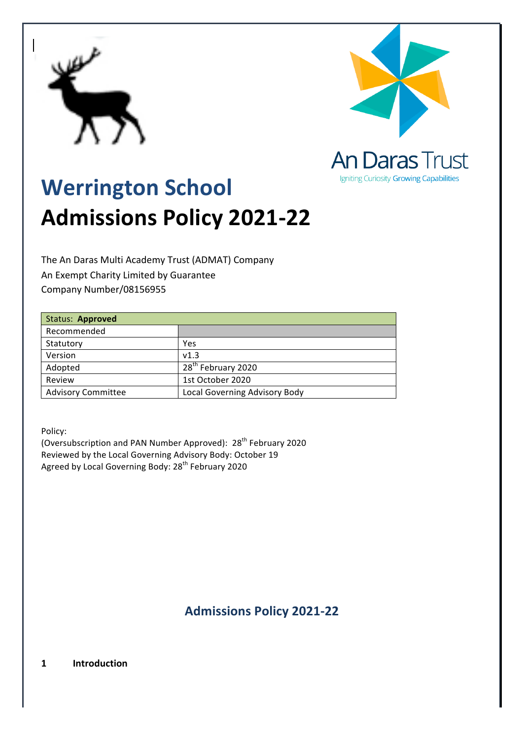



Igniting Curiosity Growing Capabilities

# **Werrington School Admissions Policy 2021-22**

The An Daras Multi Academy Trust (ADMAT) Company An Exempt Charity Limited by Guarantee Company Number/08156955

| Status: Approved          |                                |
|---------------------------|--------------------------------|
| Recommended               |                                |
| Statutory                 | Yes                            |
| Version                   | v1.3                           |
| Adopted                   | 28 <sup>th</sup> February 2020 |
| Review                    | 1st October 2020               |
| <b>Advisory Committee</b> | Local Governing Advisory Body  |

Policy:

(Oversubscription and PAN Number Approved):  $28<sup>th</sup>$  February 2020 Reviewed by the Local Governing Advisory Body: October 19 Agreed by Local Governing Body: 28<sup>th</sup> February 2020

**Admissions Policy 2021-22**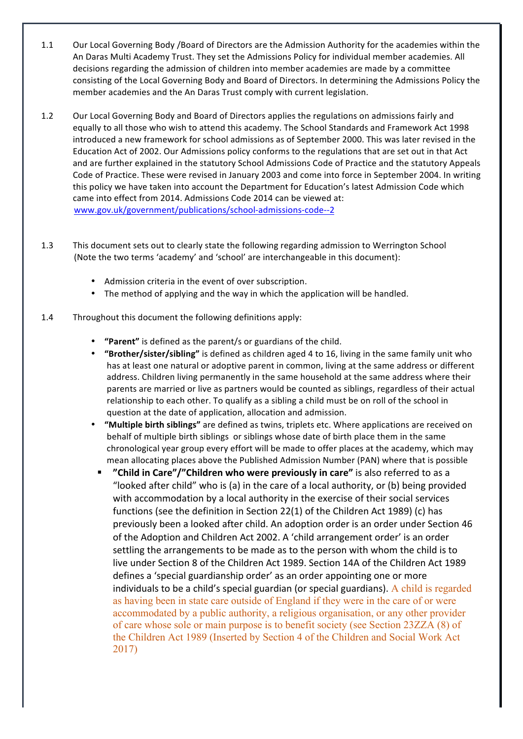- 1.1 Our Local Governing Body /Board of Directors are the Admission Authority for the academies within the An Daras Multi Academy Trust. They set the Admissions Policy for individual member academies. All decisions regarding the admission of children into member academies are made by a committee consisting of the Local Governing Body and Board of Directors. In determining the Admissions Policy the member academies and the An Daras Trust comply with current legislation.
- 1.2 Our Local Governing Body and Board of Directors applies the regulations on admissions fairly and equally to all those who wish to attend this academy. The School Standards and Framework Act 1998 introduced a new framework for school admissions as of September 2000. This was later revised in the Education Act of 2002. Our Admissions policy conforms to the regulations that are set out in that Act and are further explained in the statutory School Admissions Code of Practice and the statutory Appeals Code of Practice. These were revised in January 2003 and come into force in September 2004. In writing this policy we have taken into account the Department for Education's latest Admission Code which came into effect from 2014. Admissions Code 2014 can be viewed at: www.gov.uk/government/publications/school-admissions-code--2
- 1.3 This document sets out to clearly state the following regarding admission to Werrington School (Note the two terms 'academy' and 'school' are interchangeable in this document):
	- Admission criteria in the event of over subscription.
	- The method of applying and the way in which the application will be handled.
- 1.4 Throughout this document the following definitions apply:
	- **"Parent"** is defined as the parent/s or guardians of the child.
	- "Brother/sister/sibling" is defined as children aged 4 to 16, living in the same family unit who has at least one natural or adoptive parent in common, living at the same address or different address. Children living permanently in the same household at the same address where their parents are married or live as partners would be counted as siblings, regardless of their actual relationship to each other. To qualify as a sibling a child must be on roll of the school in question at the date of application, allocation and admission.
	- "Multiple birth siblings" are defined as twins, triplets etc. Where applications are received on behalf of multiple birth siblings or siblings whose date of birth place them in the same chronological year group every effort will be made to offer places at the academy, which may mean allocating places above the Published Admission Number (PAN) where that is possible
		- "Child in Care"/"Children who were previously in care" is also referred to as a "looked after child" who is (a) in the care of a local authority, or (b) being provided with accommodation by a local authority in the exercise of their social services functions (see the definition in Section 22(1) of the Children Act 1989) (c) has previously been a looked after child. An adoption order is an order under Section 46 of the Adoption and Children Act 2002. A 'child arrangement order' is an order settling the arrangements to be made as to the person with whom the child is to live under Section 8 of the Children Act 1989. Section 14A of the Children Act 1989 defines a 'special guardianship order' as an order appointing one or more individuals to be a child's special guardian (or special guardians). A child is regarded as having been in state care outside of England if they were in the care of or were accommodated by a public authority, a religious organisation, or any other provider of care whose sole or main purpose is to benefit society (see Section 23ZZA (8) of the Children Act 1989 (Inserted by Section 4 of the Children and Social Work Act 2017)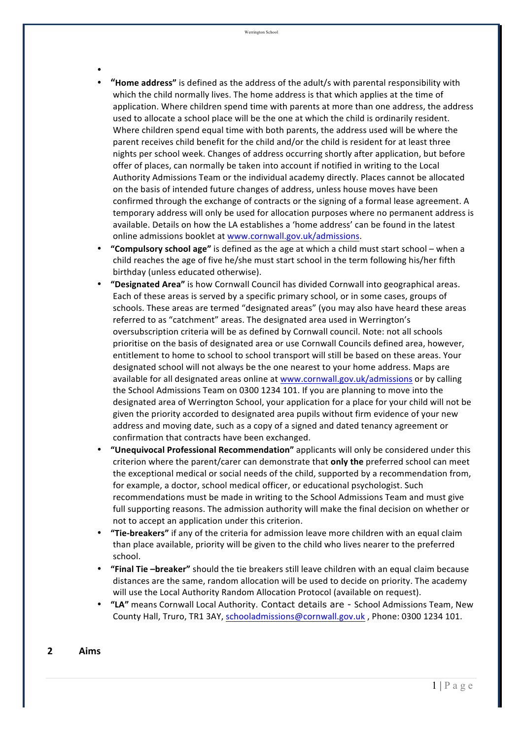- •
- "Home address" is defined as the address of the adult/s with parental responsibility with which the child normally lives. The home address is that which applies at the time of application. Where children spend time with parents at more than one address, the address used to allocate a school place will be the one at which the child is ordinarily resident. Where children spend equal time with both parents, the address used will be where the parent receives child benefit for the child and/or the child is resident for at least three nights per school week. Changes of address occurring shortly after application, but before offer of places, can normally be taken into account if notified in writing to the Local Authority Admissions Team or the individual academy directly. Places cannot be allocated on the basis of intended future changes of address, unless house moves have been confirmed through the exchange of contracts or the signing of a formal lease agreement. A temporary address will only be used for allocation purposes where no permanent address is available. Details on how the LA establishes a 'home address' can be found in the latest online admissions booklet at www.cornwall.gov.uk/admissions.
- **"Compulsory school age"** is defined as the age at which a child must start school when a child reaches the age of five he/she must start school in the term following his/her fifth birthday (unless educated otherwise).
- "Designated Area" is how Cornwall Council has divided Cornwall into geographical areas. Each of these areas is served by a specific primary school, or in some cases, groups of schools. These areas are termed "designated areas" (you may also have heard these areas referred to as "catchment" areas. The designated area used in Werrington's oversubscription criteria will be as defined by Cornwall council. Note: not all schools prioritise on the basis of designated area or use Cornwall Councils defined area, however, entitlement to home to school to school transport will still be based on these areas. Your designated school will not always be the one nearest to your home address. Maps are available for all designated areas online at www.cornwall.gov.uk/admissions or by calling the School Admissions Team on 0300 1234 101. If you are planning to move into the designated area of Werrington School, your application for a place for your child will not be given the priority accorded to designated area pupils without firm evidence of your new address and moving date, such as a copy of a signed and dated tenancy agreement or confirmation that contracts have been exchanged.
- "Unequivocal Professional Recommendation" applicants will only be considered under this criterion where the parent/carer can demonstrate that **only the** preferred school can meet the exceptional medical or social needs of the child, supported by a recommendation from, for example, a doctor, school medical officer, or educational psychologist. Such recommendations must be made in writing to the School Admissions Team and must give full supporting reasons. The admission authority will make the final decision on whether or not to accept an application under this criterion.
- "Tie-breakers" if any of the criteria for admission leave more children with an equal claim than place available, priority will be given to the child who lives nearer to the preferred school.
- "Final Tie -breaker" should the tie breakers still leave children with an equal claim because distances are the same, random allocation will be used to decide on priority. The academy will use the Local Authority Random Allocation Protocol (available on request).
- "LA" means Cornwall Local Authority. Contact details are School Admissions Team, New County Hall, Truro, TR1 3AY, schooladmissions@cornwall.gov.uk, Phone: 0300 1234 101.

#### **2 Aims**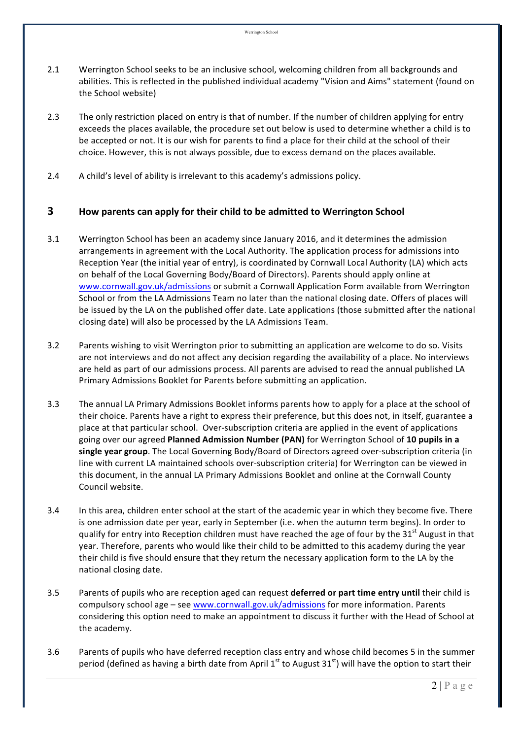- 2.1 Werrington School seeks to be an inclusive school, welcoming children from all backgrounds and abilities. This is reflected in the published individual academy "Vision and Aims" statement (found on the School website)
- 2.3 The only restriction placed on entry is that of number. If the number of children applying for entry exceeds the places available, the procedure set out below is used to determine whether a child is to be accepted or not. It is our wish for parents to find a place for their child at the school of their choice. However, this is not always possible, due to excess demand on the places available.
- 2.4 A child's level of ability is irrelevant to this academy's admissions policy.

## **3 How parents can apply for their child to be admitted to Werrington School**

- 3.1 Werrington School has been an academy since January 2016, and it determines the admission arrangements in agreement with the Local Authority. The application process for admissions into Reception Year (the initial year of entry), is coordinated by Cornwall Local Authority (LA) which acts on behalf of the Local Governing Body/Board of Directors). Parents should apply online at www.cornwall.gov.uk/admissions or submit a Cornwall Application Form available from Werrington School or from the LA Admissions Team no later than the national closing date. Offers of places will be issued by the LA on the published offer date. Late applications (those submitted after the national closing date) will also be processed by the LA Admissions Team.
- 3.2 Parents wishing to visit Werrington prior to submitting an application are welcome to do so. Visits are not interviews and do not affect any decision regarding the availability of a place. No interviews are held as part of our admissions process. All parents are advised to read the annual published LA Primary Admissions Booklet for Parents before submitting an application.
- 3.3 The annual LA Primary Admissions Booklet informs parents how to apply for a place at the school of their choice. Parents have a right to express their preference, but this does not, in itself, guarantee a place at that particular school. Over-subscription criteria are applied in the event of applications going over our agreed Planned Admission Number (PAN) for Werrington School of 10 pupils in a single year group. The Local Governing Body/Board of Directors agreed over-subscription criteria (in line with current LA maintained schools over-subscription criteria) for Werrington can be viewed in this document, in the annual LA Primary Admissions Booklet and online at the Cornwall County Council website.
- 3.4 In this area, children enter school at the start of the academic year in which they become five. There is one admission date per year, early in September (i.e. when the autumn term begins). In order to qualify for entry into Reception children must have reached the age of four by the  $31<sup>st</sup>$  August in that year. Therefore, parents who would like their child to be admitted to this academy during the year their child is five should ensure that they return the necessary application form to the LA by the national closing date.
- 3.5 Parents of pupils who are reception aged can request **deferred or part time entry until** their child is compulsory school age – see www.cornwall.gov.uk/admissions for more information. Parents considering this option need to make an appointment to discuss it further with the Head of School at the academy.
- 3.6 Parents of pupils who have deferred reception class entry and whose child becomes 5 in the summer period (defined as having a birth date from April  $1^{st}$  to August  $31^{st}$ ) will have the option to start their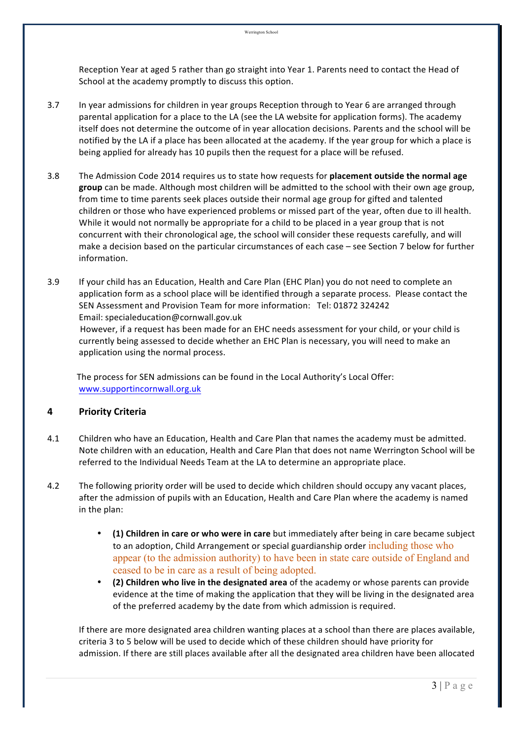Reception Year at aged 5 rather than go straight into Year 1. Parents need to contact the Head of School at the academy promptly to discuss this option.

- 3.7 In year admissions for children in year groups Reception through to Year 6 are arranged through parental application for a place to the LA (see the LA website for application forms). The academy itself does not determine the outcome of in year allocation decisions. Parents and the school will be notified by the LA if a place has been allocated at the academy. If the year group for which a place is being applied for already has 10 pupils then the request for a place will be refused.
- 3.8 The Admission Code 2014 requires us to state how requests for **placement outside the normal age** group can be made. Although most children will be admitted to the school with their own age group, from time to time parents seek places outside their normal age group for gifted and talented children or those who have experienced problems or missed part of the year, often due to ill health. While it would not normally be appropriate for a child to be placed in a year group that is not concurrent with their chronological age, the school will consider these requests carefully, and will make a decision based on the particular circumstances of each case – see Section 7 below for further information.
- 3.9 If your child has an Education, Health and Care Plan (EHC Plan) you do not need to complete an application form as a school place will be identified through a separate process. Please contact the SEN Assessment and Provision Team for more information: Tel: 01872 324242 Email: specialeducation@cornwall.gov.uk However, if a request has been made for an EHC needs assessment for your child, or your child is

currently being assessed to decide whether an EHC Plan is necessary, you will need to make an application using the normal process.

The process for SEN admissions can be found in the Local Authority's Local Offer: www.supportincornwall.org.uk

# **4 Priority Criteria**

- 4.1 Children who have an Education, Health and Care Plan that names the academy must be admitted. Note children with an education, Health and Care Plan that does not name Werrington School will be referred to the Individual Needs Team at the LA to determine an appropriate place.
- 4.2 The following priority order will be used to decide which children should occupy any vacant places, after the admission of pupils with an Education, Health and Care Plan where the academy is named in the plan:
	- **(1) Children in care or who were in care** but immediately after being in care became subject to an adoption, Child Arrangement or special guardianship order including those who appear (to the admission authority) to have been in state care outside of England and ceased to be in care as a result of being adopted.
	- **(2) Children who live in the designated area** of the academy or whose parents can provide evidence at the time of making the application that they will be living in the designated area of the preferred academy by the date from which admission is required.

If there are more designated area children wanting places at a school than there are places available, criteria 3 to 5 below will be used to decide which of these children should have priority for admission. If there are still places available after all the designated area children have been allocated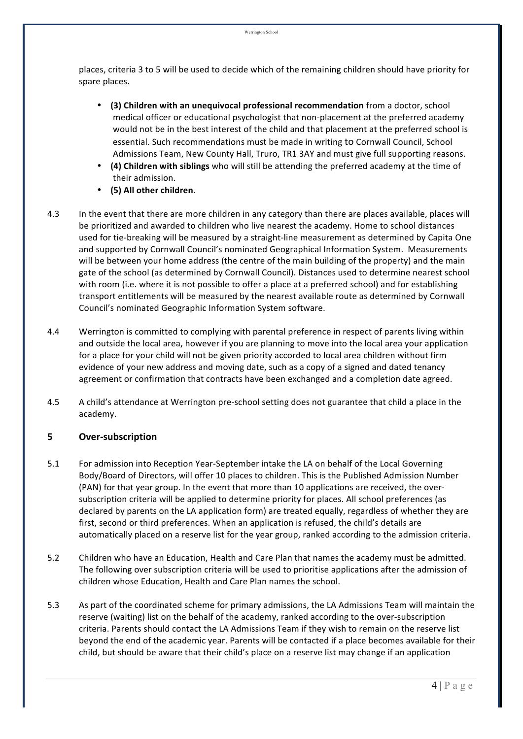places, criteria 3 to 5 will be used to decide which of the remaining children should have priority for spare places.

- **(3) Children with an unequivocal professional recommendation** from a doctor, school medical officer or educational psychologist that non-placement at the preferred academy would not be in the best interest of the child and that placement at the preferred school is essential. Such recommendations must be made in writing to Cornwall Council, School Admissions Team, New County Hall, Truro, TR1 3AY and must give full supporting reasons.
- (4) Children with siblings who will still be attending the preferred academy at the time of their admission.
- **(5) All other children**.
- 4.3 In the event that there are more children in any category than there are places available, places will be prioritized and awarded to children who live nearest the academy. Home to school distances used for tie-breaking will be measured by a straight-line measurement as determined by Capita One and supported by Cornwall Council's nominated Geographical Information System. Measurements will be between your home address (the centre of the main building of the property) and the main gate of the school (as determined by Cornwall Council). Distances used to determine nearest school with room (i.e. where it is not possible to offer a place at a preferred school) and for establishing transport entitlements will be measured by the nearest available route as determined by Cornwall Council's nominated Geographic Information System software.
- 4.4 Werrington is committed to complying with parental preference in respect of parents living within and outside the local area, however if you are planning to move into the local area your application for a place for your child will not be given priority accorded to local area children without firm evidence of your new address and moving date, such as a copy of a signed and dated tenancy agreement or confirmation that contracts have been exchanged and a completion date agreed.
- 4.5 A child's attendance at Werrington pre-school setting does not guarantee that child a place in the academy.

# **5 Over-subscription**

- 5.1 For admission into Reception Year-September intake the LA on behalf of the Local Governing Body/Board of Directors, will offer 10 places to children. This is the Published Admission Number (PAN) for that year group. In the event that more than 10 applications are received, the oversubscription criteria will be applied to determine priority for places. All school preferences (as declared by parents on the LA application form) are treated equally, regardless of whether they are first, second or third preferences. When an application is refused, the child's details are automatically placed on a reserve list for the year group, ranked according to the admission criteria.
- 5.2 Children who have an Education, Health and Care Plan that names the academy must be admitted. The following over subscription criteria will be used to prioritise applications after the admission of children whose Education, Health and Care Plan names the school.
- 5.3 As part of the coordinated scheme for primary admissions, the LA Admissions Team will maintain the reserve (waiting) list on the behalf of the academy, ranked according to the over-subscription criteria. Parents should contact the LA Admissions Team if they wish to remain on the reserve list beyond the end of the academic year. Parents will be contacted if a place becomes available for their child, but should be aware that their child's place on a reserve list may change if an application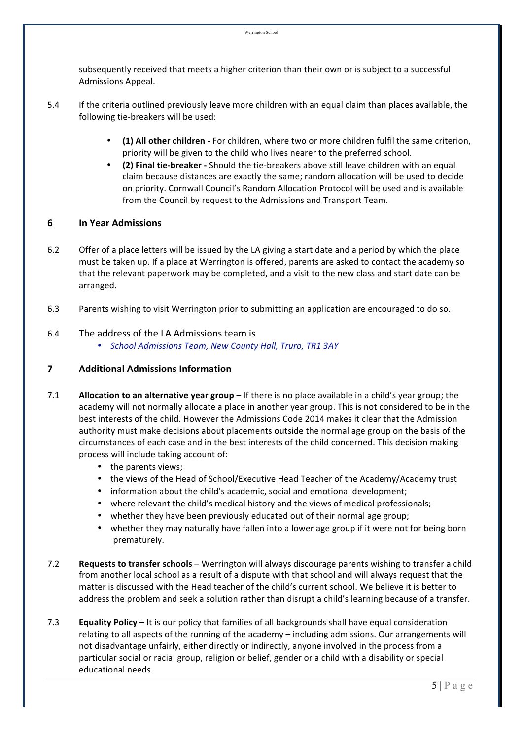subsequently received that meets a higher criterion than their own or is subject to a successful Admissions Appeal.

- 5.4 If the criteria outlined previously leave more children with an equal claim than places available, the following tie-breakers will be used:
	- (1) All other children For children, where two or more children fulfil the same criterion, priority will be given to the child who lives nearer to the preferred school.
	- **(2) Final tie-breaker** Should the tie-breakers above still leave children with an equal claim because distances are exactly the same; random allocation will be used to decide on priority. Cornwall Council's Random Allocation Protocol will be used and is available from the Council by request to the Admissions and Transport Team.

#### **6 In Year Admissions**

- 6.2 Offer of a place letters will be issued by the LA giving a start date and a period by which the place must be taken up. If a place at Werrington is offered, parents are asked to contact the academy so that the relevant paperwork may be completed, and a visit to the new class and start date can be arranged.
- 6.3 Parents wishing to visit Werrington prior to submitting an application are encouraged to do so.

#### 6.4 The address of the LA Admissions team is

• *School Admissions Team, New County Hall, Truro, TR1 3AY*

#### **7 Additional Admissions Information**

- 7.1 **Allocation to an alternative year group** If there is no place available in a child's year group; the academy will not normally allocate a place in another year group. This is not considered to be in the best interests of the child. However the Admissions Code 2014 makes it clear that the Admission authority must make decisions about placements outside the normal age group on the basis of the circumstances of each case and in the best interests of the child concerned. This decision making process will include taking account of:
	- the parents views;
	- the views of the Head of School/Executive Head Teacher of the Academy/Academy trust
	- information about the child's academic, social and emotional development;
	- where relevant the child's medical history and the views of medical professionals;
	- whether they have been previously educated out of their normal age group;
	- whether they may naturally have fallen into a lower age group if it were not for being born prematurely.
- 7.2 **Requests to transfer schools** Werrington will always discourage parents wishing to transfer a child from another local school as a result of a dispute with that school and will always request that the matter is discussed with the Head teacher of the child's current school. We believe it is better to address the problem and seek a solution rather than disrupt a child's learning because of a transfer.
- 7.3 **Equality Policy** It is our policy that families of all backgrounds shall have equal consideration relating to all aspects of the running of the academy – including admissions. Our arrangements will not disadvantage unfairly, either directly or indirectly, anyone involved in the process from a particular social or racial group, religion or belief, gender or a child with a disability or special educational needs.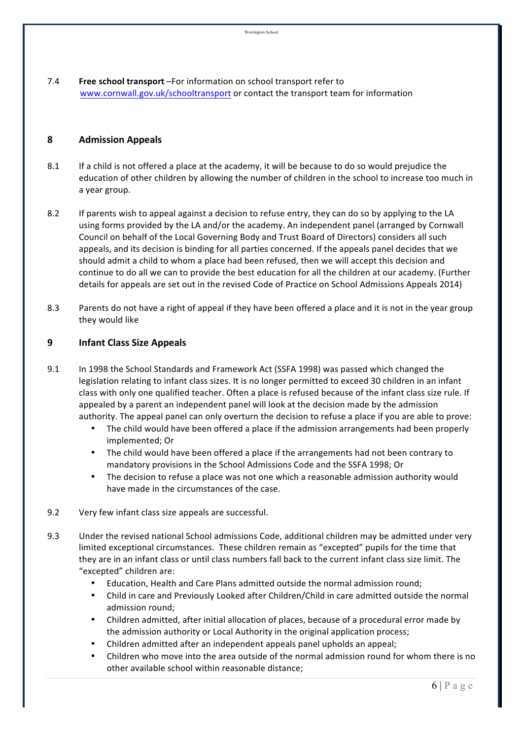7.4 **Free school transport** –For information on school transport refer to www.cornwall.gov.uk/schooltransport or contact the transport team for information

#### **8 Admission Appeals**

- 8.1 If a child is not offered a place at the academy, it will be because to do so would prejudice the education of other children by allowing the number of children in the school to increase too much in a year group.
- 8.2 If parents wish to appeal against a decision to refuse entry, they can do so by applying to the LA using forms provided by the LA and/or the academy. An independent panel (arranged by Cornwall Council on behalf of the Local Governing Body and Trust Board of Directors) considers all such appeals, and its decision is binding for all parties concerned. If the appeals panel decides that we should admit a child to whom a place had been refused, then we will accept this decision and continue to do all we can to provide the best education for all the children at our academy. (Further details for appeals are set out in the revised Code of Practice on School Admissions Appeals 2014)
- 8.3 Parents do not have a right of appeal if they have been offered a place and it is not in the year group they would like

#### **9 Infant Class Size Appeals**

- 9.1 In 1998 the School Standards and Framework Act (SSFA 1998) was passed which changed the legislation relating to infant class sizes. It is no longer permitted to exceed 30 children in an infant class with only one qualified teacher. Often a place is refused because of the infant class size rule. If appealed by a parent an independent panel will look at the decision made by the admission authority. The appeal panel can only overturn the decision to refuse a place if you are able to prove:
	- The child would have been offered a place if the admission arrangements had been properly implemented; Or
	- The child would have been offered a place if the arrangements had not been contrary to mandatory provisions in the School Admissions Code and the SSFA 1998; Or
	- The decision to refuse a place was not one which a reasonable admission authority would have made in the circumstances of the case.
- 9.2 Very few infant class size appeals are successful.
- 9.3 Under the revised national School admissions Code, additional children may be admitted under very limited exceptional circumstances. These children remain as "excepted" pupils for the time that they are in an infant class or until class numbers fall back to the current infant class size limit. The "excepted" children are:
	- Education, Health and Care Plans admitted outside the normal admission round:
	- Child in care and Previously Looked after Children/Child in care admitted outside the normal admission round;
	- Children admitted, after initial allocation of places, because of a procedural error made by the admission authority or Local Authority in the original application process;
	- Children admitted after an independent appeals panel upholds an appeal;
	- Children who move into the area outside of the normal admission round for whom there is no other available school within reasonable distance;